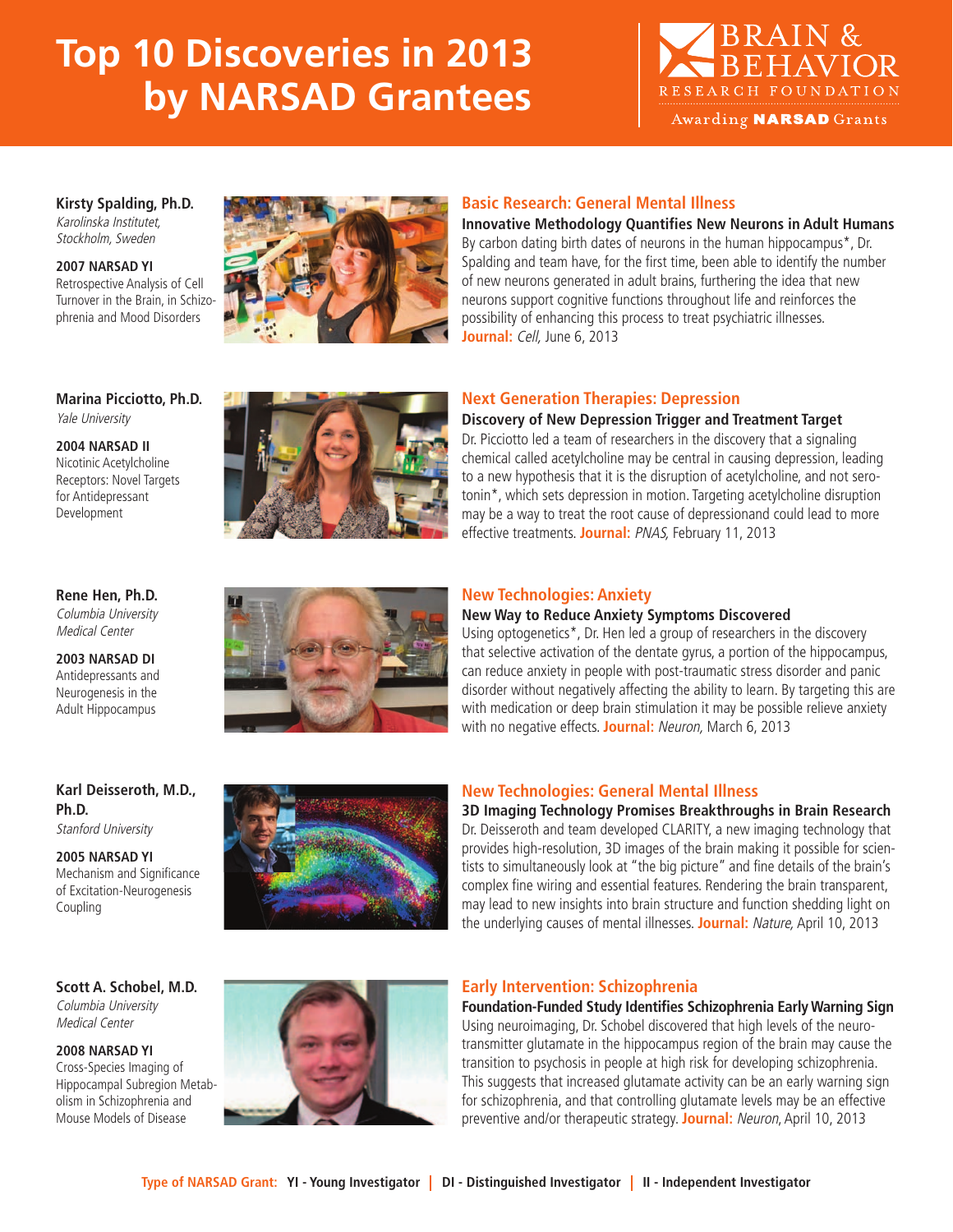# **Top 10 Discoveries in 2013 by NARSAD Grantees**



Awarding **NARSAD** Grants

### **Kirsty Spalding, Ph.D.** Karolinska Institutet, Stockholm, Sweden

**2007 NARSAD YI** Retrospective Analysis of Cell Turnover in the Brain, in Schizophrenia and Mood Disorders



### **Basic Research: General Mental Illness**

**Innovative Methodology Quantifies New Neurons in Adult Humans** By carbon dating birth dates of neurons in the human hippocampus\*, Dr. Spalding and team have, for the first time, been able to identify the number of new neurons generated in adult brains, furthering the idea that new neurons support cognitive functions throughout life and reinforces the possibility of enhancing this process to treat psychiatric illnesses. **Journal:** Cell, June 6, 2013

### **Marina Picciotto, Ph.D.** Yale University

**2004 NARSAD II** Nicotinic Acetylcholine Receptors: Novel Targets for Antidepressant Development



## **Next Generation Therapies: Depression**

### **Discovery of New Depression Trigger and Treatment Target**

Dr. Picciotto led a team of researchers in the discovery that a signaling chemical called acetylcholine may be central in causing depression, leading to a new hypothesis that it is the disruption of acetylcholine, and not serotonin\*, which sets depression in motion. Targeting acetylcholine disruption may be a way to treat the root cause of depressionand could lead to more effective treatments. **Journal:** PNAS, February 11, 2013

### **Rene Hen, Ph.D.** Columbia University Medical Center

**2003 NARSAD DI** Antidepressants and Neurogenesis in the Adult Hippocampus



### **New Technologies: Anxiety**

**New Way to Reduce Anxiety Symptoms Discovered**

Using optogenetics\*, Dr. Hen led a group of researchers in the discovery that selective activation of the dentate gyrus, a portion of the hippocampus, can reduce anxiety in people with post-traumatic stress disorder and panic disorder without negatively affecting the ability to learn. By targeting this are with medication or deep brain stimulation it may be possible relieve anxiety with no negative effects. **Journal:** Neuron, March 6, 2013

### **Karl Deisseroth, M.D., Ph.D.** Stanford University

**2005 NARSAD YI** Mechanism and Significance of Excitation-Neurogenesis Coupling



## **New Technologies: General Mental Illness**

**3D Imaging Technology Promises Breakthroughs in Brain Research** Dr. Deisseroth and team developed CLARITY, a new imaging technology that provides high-resolution, 3D images of the brain making it possible for scientists to simultaneously look at "the big picture" and fine details of the brain's complex fine wiring and essential features. Rendering the brain transparent, may lead to new insights into brain structure and function shedding light on the underlying causes of mental illnesses. **Journal:** Nature, April 10, 2013

### **Scott A. Schobel, M.D.** Columbia University Medical Center

**2008 NARSAD YI** Cross-Species Imaging of Hippocampal Subregion Metabolism in Schizophrenia and Mouse Models of Disease



### **Early Intervention: Schizophrenia**

**Foundation-Funded Study Identifies Schizophrenia Early Warning Sign** Using neuroimaging, Dr. Schobel discovered that high levels of the neurotransmitter glutamate in the hippocampus region of the brain may cause the transition to psychosis in people at high risk for developing schizophrenia. This suggests that increased glutamate activity can be an early warning sign for schizophrenia, and that controlling glutamate levels may be an effective preventive and/or therapeutic strategy. **Journal:** Neuron, April 10, 2013